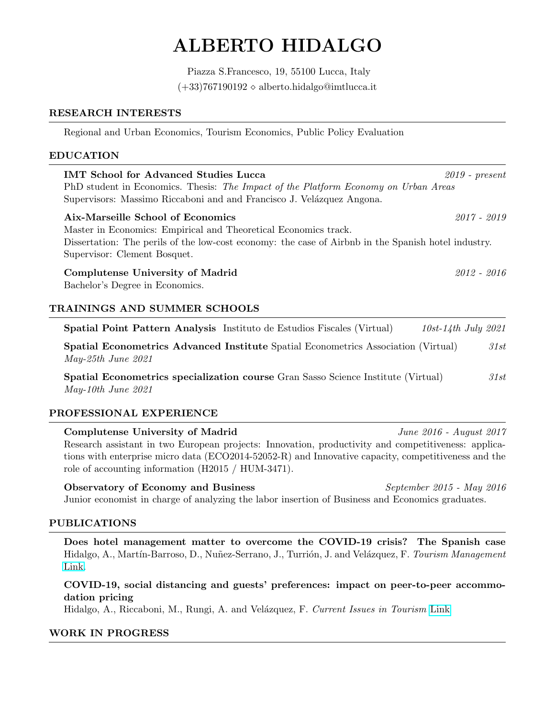# ALBERTO HIDALGO

Piazza S.Francesco, 19, 55100 Lucca, Italy  $(+33)767190192 \diamond$  alberto.hidalgo@imtlucca.it

### RESEARCH INTERESTS

Regional and Urban Economics, Tourism Economics, Public Policy Evaluation

### EDUCATION

| <b>IMT School for Advanced Studies Lucca</b>                                                        | $2019$ - present |  |
|-----------------------------------------------------------------------------------------------------|------------------|--|
| PhD student in Economics. Thesis: The Impact of the Platform Economy on Urban Areas                 |                  |  |
| Supervisors: Massimo Riccaboni and and Francisco J. Velázquez Angona.                               |                  |  |
| Aix-Marseille School of Economics                                                                   | $2017 - 2019$    |  |
| Master in Economics: Empirical and Theoretical Economics track.                                     |                  |  |
| Dissertation: The perils of the low-cost economy: the case of Airbnb in the Spanish hotel industry. |                  |  |
| Supervisor: Clement Bosquet.                                                                        |                  |  |
| Complutense University of Madrid                                                                    | 2012 - 2016      |  |
| Bachelor's Degree in Economics.                                                                     |                  |  |
|                                                                                                     |                  |  |
| <b>TRAININGS AND SUMMER SCHOOLS</b>                                                                 |                  |  |

Spatial Point Pattern Analysis Instituto de Estudios Fiscales (Virtual) 10st-14th July 2021 Spatial Econometrics Advanced Institute Spatial Econometrics Association (Virtual) 31st May-25th June 2021

Spatial Econometrics specialization course Gran Sasso Science Institute (Virtual) 31st May-10th June 2021

## PROFESSIONAL EXPERIENCE

Complutense University of Madrid June 2016 - August 2017 Research assistant in two European projects: Innovation, productivity and competitiveness: applications with enterprise micro data (ECO2014-52052-R) and Innovative capacity, competitiveness and the role of accounting information (H2015 / HUM-3471).

Observatory of Economy and Business September 2015 - May 2016 Junior economist in charge of analyzing the labor insertion of Business and Economics graduates.

#### PUBLICATIONS

Does hotel management matter to overcome the COVID-19 crisis? The Spanish case Hidalgo, A., Martín-Barroso, D., Nuñez-Serrano, J., Turrión, J. and Velázquez, F. Tourism Management [Link.](https://www.sciencedirect.com/science/article/pii/S026151772100114X)

COVID-19, social distancing and guests' preferences: impact on peer-to-peer accommodation pricing

Hidalgo, A., Riccaboni, M., Rungi, A. and Velázquez, F. Current Issues in Tourism [Link](https://www.tandfonline.com/doi/abs/10.1080/13683500.2021.1963215)

#### WORK IN PROGRESS